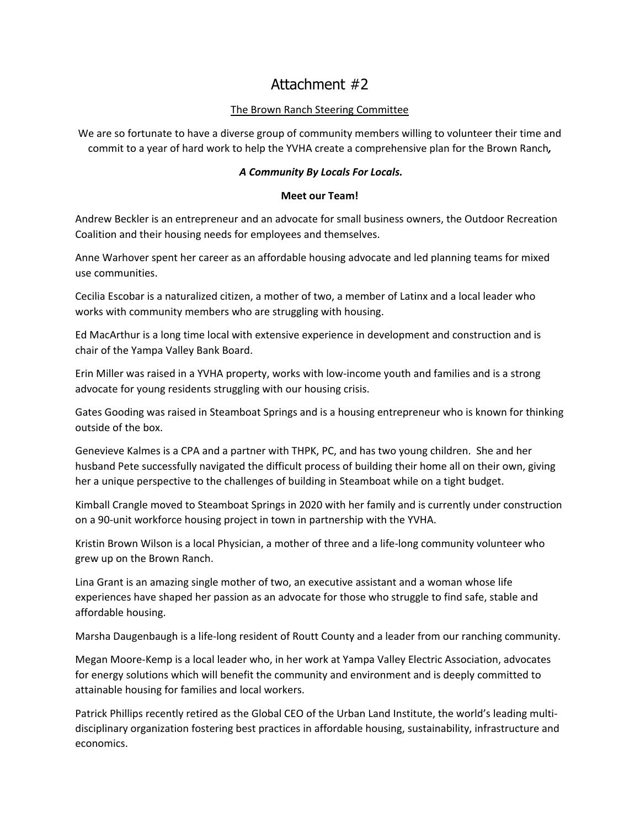## Attachment #2

## The Brown Ranch Steering Committee

We are so fortunate to have a diverse group of community members willing to volunteer their time and commit to a year of hard work to help the YVHA create a comprehensive plan for the Brown Ranch*,*

## *A Community By Locals For Locals.*

## **Meet our Team!**

Andrew Beckler is an entrepreneur and an advocate for small business owners, the Outdoor Recreation Coalition and their housing needs for employees and themselves.

Anne Warhover spent her career as an affordable housing advocate and led planning teams for mixed use communities.

Cecilia Escobar is a naturalized citizen, a mother of two, a member of Latinx and a local leader who works with community members who are struggling with housing.

Ed MacArthur is a long time local with extensive experience in development and construction and is chair of the Yampa Valley Bank Board.

Erin Miller was raised in a YVHA property, works with low-income youth and families and is a strong advocate for young residents struggling with our housing crisis.

Gates Gooding was raised in Steamboat Springs and is a housing entrepreneur who is known for thinking outside of the box.

Genevieve Kalmes is a CPA and a partner with THPK, PC, and has two young children. She and her husband Pete successfully navigated the difficult process of building their home all on their own, giving her a unique perspective to the challenges of building in Steamboat while on a tight budget.

Kimball Crangle moved to Steamboat Springs in 2020 with her family and is currently under construction on a 90-unit workforce housing project in town in partnership with the YVHA.

Kristin Brown Wilson is a local Physician, a mother of three and a life-long community volunteer who grew up on the Brown Ranch.

Lina Grant is an amazing single mother of two, an executive assistant and a woman whose life experiences have shaped her passion as an advocate for those who struggle to find safe, stable and affordable housing.

Marsha Daugenbaugh is a life-long resident of Routt County and a leader from our ranching community.

Megan Moore-Kemp is a local leader who, in her work at Yampa Valley Electric Association, advocates for energy solutions which will benefit the community and environment and is deeply committed to attainable housing for families and local workers.

Patrick Phillips recently retired as the Global CEO of the Urban Land Institute, the world's leading multidisciplinary organization fostering best practices in affordable housing, sustainability, infrastructure and economics.